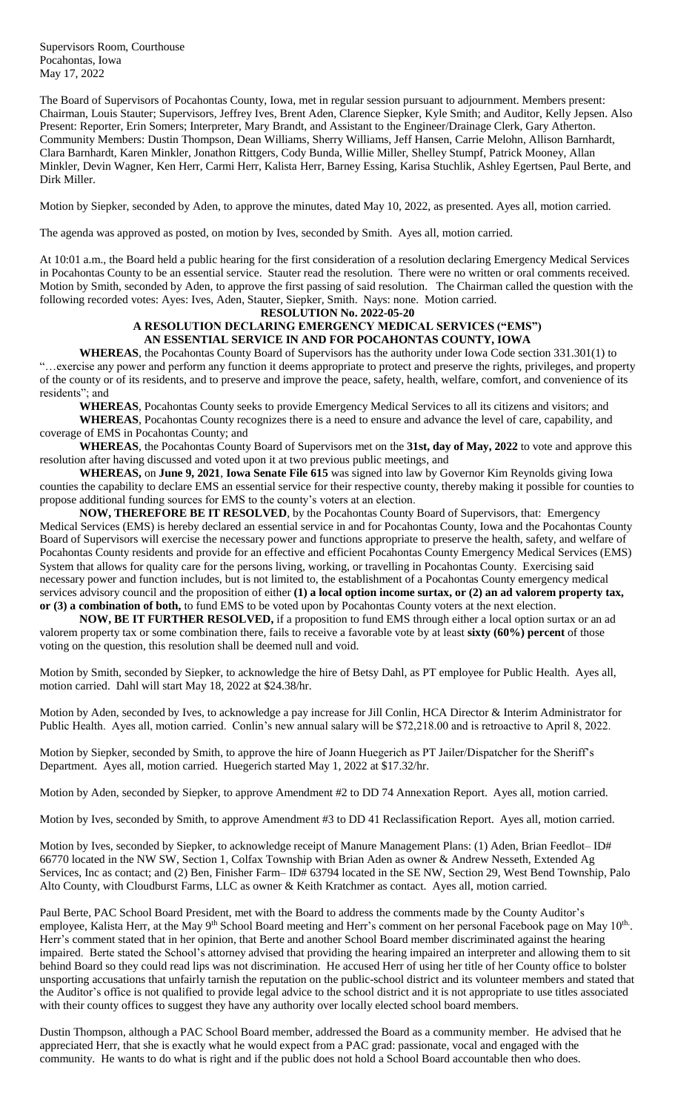Supervisors Room, Courthouse Pocahontas, Iowa May 17, 2022

The Board of Supervisors of Pocahontas County, Iowa, met in regular session pursuant to adjournment. Members present: Chairman, Louis Stauter; Supervisors, Jeffrey Ives, Brent Aden, Clarence Siepker, Kyle Smith; and Auditor, Kelly Jepsen. Also Present: Reporter, Erin Somers; Interpreter, Mary Brandt, and Assistant to the Engineer/Drainage Clerk, Gary Atherton. Community Members: Dustin Thompson, Dean Williams, Sherry Williams, Jeff Hansen, Carrie Melohn, Allison Barnhardt, Clara Barnhardt, Karen Minkler, Jonathon Rittgers, Cody Bunda, Willie Miller, Shelley Stumpf, Patrick Mooney, Allan Minkler, Devin Wagner, Ken Herr, Carmi Herr, Kalista Herr, Barney Essing, Karisa Stuchlik, Ashley Egertsen, Paul Berte, and Dirk Miller.

Motion by Siepker, seconded by Aden, to approve the minutes, dated May 10, 2022, as presented. Ayes all, motion carried.

The agenda was approved as posted, on motion by Ives, seconded by Smith. Ayes all, motion carried.

At 10:01 a.m., the Board held a public hearing for the first consideration of a resolution declaring Emergency Medical Services in Pocahontas County to be an essential service. Stauter read the resolution. There were no written or oral comments received. Motion by Smith, seconded by Aden, to approve the first passing of said resolution. The Chairman called the question with the following recorded votes: Ayes: Ives, Aden, Stauter, Siepker, Smith. Nays: none. Motion carried.

**RESOLUTION No. 2022-05-20**

## **A RESOLUTION DECLARING EMERGENCY MEDICAL SERVICES ("EMS") AN ESSENTIAL SERVICE IN AND FOR POCAHONTAS COUNTY, IOWA**

**WHEREAS**, the Pocahontas County Board of Supervisors has the authority under Iowa Code section 331.301(1) to "…exercise any power and perform any function it deems appropriate to protect and preserve the rights, privileges, and property of the county or of its residents, and to preserve and improve the peace, safety, health, welfare, comfort, and convenience of its residents"; and

**WHEREAS**, Pocahontas County seeks to provide Emergency Medical Services to all its citizens and visitors; and

**WHEREAS**, Pocahontas County recognizes there is a need to ensure and advance the level of care, capability, and coverage of EMS in Pocahontas County; and

**WHEREAS**, the Pocahontas County Board of Supervisors met on the **31st, day of May, 2022** to vote and approve this resolution after having discussed and voted upon it at two previous public meetings, and

**WHEREAS,** on **June 9, 2021**, **Iowa Senate File 615** was signed into law by Governor Kim Reynolds giving Iowa counties the capability to declare EMS an essential service for their respective county, thereby making it possible for counties to propose additional funding sources for EMS to the county's voters at an election.

**NOW, THEREFORE BE IT RESOLVED**, by the Pocahontas County Board of Supervisors, that: Emergency Medical Services (EMS) is hereby declared an essential service in and for Pocahontas County, Iowa and the Pocahontas County Board of Supervisors will exercise the necessary power and functions appropriate to preserve the health, safety, and welfare of Pocahontas County residents and provide for an effective and efficient Pocahontas County Emergency Medical Services (EMS) System that allows for quality care for the persons living, working, or travelling in Pocahontas County. Exercising said necessary power and function includes, but is not limited to, the establishment of a Pocahontas County emergency medical services advisory council and the proposition of either **(1) a local option income surtax, or (2) an ad valorem property tax, or (3) a combination of both,** to fund EMS to be voted upon by Pocahontas County voters at the next election.

**NOW, BE IT FURTHER RESOLVED,** if a proposition to fund EMS through either a local option surtax or an ad valorem property tax or some combination there, fails to receive a favorable vote by at least **sixty (60%) percent** of those voting on the question, this resolution shall be deemed null and void.

Motion by Smith, seconded by Siepker, to acknowledge the hire of Betsy Dahl, as PT employee for Public Health. Ayes all, motion carried. Dahl will start May 18, 2022 at \$24.38/hr.

Motion by Aden, seconded by Ives, to acknowledge a pay increase for Jill Conlin, HCA Director & Interim Administrator for Public Health. Ayes all, motion carried. Conlin's new annual salary will be \$72,218.00 and is retroactive to April 8, 2022.

Motion by Siepker, seconded by Smith, to approve the hire of Joann Huegerich as PT Jailer/Dispatcher for the Sheriff's Department. Ayes all, motion carried. Huegerich started May 1, 2022 at \$17.32/hr.

Motion by Aden, seconded by Siepker, to approve Amendment #2 to DD 74 Annexation Report. Ayes all, motion carried.

Motion by Ives, seconded by Smith, to approve Amendment #3 to DD 41 Reclassification Report. Ayes all, motion carried.

Motion by Ives, seconded by Siepker, to acknowledge receipt of Manure Management Plans: (1) Aden, Brian Feedlot– ID# 66770 located in the NW SW, Section 1, Colfax Township with Brian Aden as owner & Andrew Nesseth, Extended Ag Services, Inc as contact; and (2) Ben, Finisher Farm– ID# 63794 located in the SE NW, Section 29, West Bend Township, Palo Alto County, with Cloudburst Farms, LLC as owner & Keith Kratchmer as contact. Ayes all, motion carried.

Paul Berte, PAC School Board President, met with the Board to address the comments made by the County Auditor's employee, Kalista Herr, at the May 9<sup>th</sup> School Board meeting and Herr's comment on her personal Facebook page on May 10<sup>th</sup>. Herr's comment stated that in her opinion, that Berte and another School Board member discriminated against the hearing impaired. Berte stated the School's attorney advised that providing the hearing impaired an interpreter and allowing them to sit behind Board so they could read lips was not discrimination. He accused Herr of using her title of her County office to bolster unsporting accusations that unfairly tarnish the reputation on the public-school district and its volunteer members and stated that the Auditor's office is not qualified to provide legal advice to the school district and it is not appropriate to use titles associated with their county offices to suggest they have any authority over locally elected school board members.

Dustin Thompson, although a PAC School Board member, addressed the Board as a community member. He advised that he appreciated Herr, that she is exactly what he would expect from a PAC grad: passionate, vocal and engaged with the community. He wants to do what is right and if the public does not hold a School Board accountable then who does.